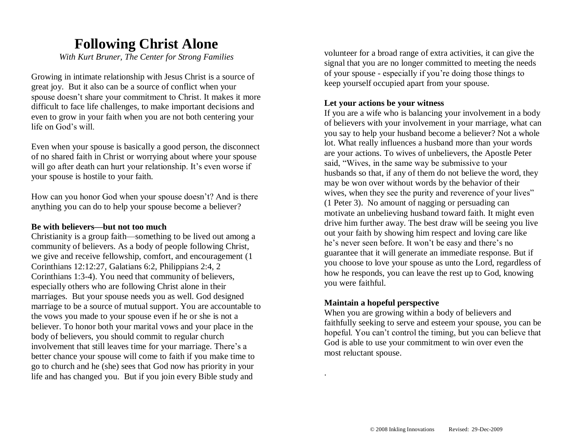## **Following Christ Alone**

*With Kurt Bruner, The Center for Strong Families*

Growing in intimate relationship with Jesus Christ is a source of great joy. But it also can be a source of conflict when your spouse doesn't share your commitment to Christ. It makes it more difficult to face life challenges, to make important decisions and even to grow in your faith when you are not both centering your life on God's will.

Even when your spouse is basically a good person, the disconnect of no shared faith in Christ or worrying about where your spouse will go after death can hurt your relationship. It's even worse if your spouse is hostile to your faith.

How can you honor God when your spouse doesn't? And is there anything you can do to help your spouse become a believer?

#### **Be with believers—but not too much**

Christianity is a group faith—something to be lived out among a community of believers. As a body of people following Christ, we give and receive fellowship, comfort, and encouragement (1 Corinthians 12:12:27, Galatians 6:2, Philippians 2:4, 2 Corinthians 1:3-4). You need that community of believers, especially others who are following Christ alone in their marriages. But your spouse needs you as well. God designed marriage to be a source of mutual support. You are accountable to the vows you made to your spouse even if he or she is not a believer. To honor both your marital vows and your place in the body of believers, you should commit to regular church involvement that still leaves time for your marriage. There's a better chance your spouse will come to faith if you make time to go to church and he (she) sees that God now has priority in your life and has changed you. But if you join every Bible study and

volunteer for a broad range of extra activities, it can give the signal that you are no longer committed to meeting the needs of your spouse - especially if you're doing those things to keep yourself occupied apart from your spouse.

#### **Let your actions be your witness**

If you are a wife who is balancing your involvement in a body of believers with your involvement in your marriage, what can you say to help your husband become a believer? Not a whole lot. What really influences a husband more than your words are your actions. To wives of unbelievers, the Apostle Peter said, "Wives, in the same way be submissive to your husbands so that, if any of them do not believe the word, they may be won over without words by the behavior of their wives, when they see the purity and reverence of your lives" (1 Peter 3). No amount of nagging or persuading can motivate an unbelieving husband toward faith. It might even drive him further away. The best draw will be seeing you live out your faith by showing him respect and loving care like he's never seen before. It won't be easy and there's no guarantee that it will generate an immediate response. But if you choose to love your spouse as unto the Lord, regardless of how he responds, you can leave the rest up to God, knowing you were faithful.

#### **Maintain a hopeful perspective**

.

When you are growing within a body of believers and faithfully seeking to serve and esteem your spouse, you can be hopeful. You can't control the timing, but you can believe that God is able to use your commitment to win over even the most reluctant spouse.